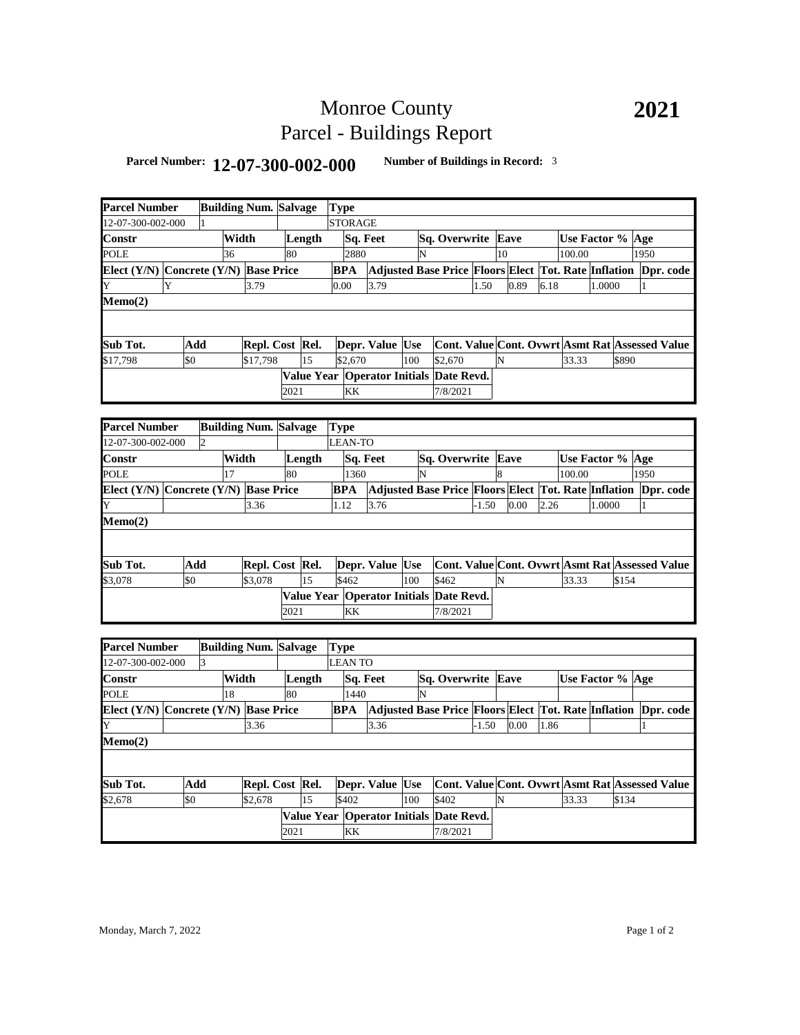## Monroe County Parcel - Buildings Report

## **Parcel Number: 12-07-300-002-000 Number of Buildings in Record:** <sup>3</sup>

| <b>Parcel Number</b>                  |                                       |                | <b>Building Num. Salvage</b> |                              |      |        | <b>Type</b> |                |                                         |     |                                                                           |         |    |                                                        |      |                  |        |       |              |  |
|---------------------------------------|---------------------------------------|----------------|------------------------------|------------------------------|------|--------|-------------|----------------|-----------------------------------------|-----|---------------------------------------------------------------------------|---------|----|--------------------------------------------------------|------|------------------|--------|-------|--------------|--|
| 2-07-300-002-000                      |                                       |                |                              |                              |      |        |             | <b>STORAGE</b> |                                         |     |                                                                           |         |    |                                                        |      |                  |        |       |              |  |
| Constr                                |                                       |                | Width                        |                              |      | Length |             | Sq. Feet       |                                         |     | Sq. Overwrite Eave                                                        |         |    |                                                        |      | Use Factor % Age |        |       |              |  |
| POLE                                  |                                       |                | 36                           |                              | 80   |        |             | 2880           |                                         | N   |                                                                           |         | 10 |                                                        |      | 100.00           |        |       | 1950         |  |
| Elect (Y/N) Concrete (Y/N) Base Price |                                       |                |                              |                              |      |        |             | <b>BPA</b>     |                                         |     | Adjusted Base Price Floors Elect Tot. Rate Inflation Dpr. code            |         |    |                                                        |      |                  |        |       |              |  |
| Y                                     | Y                                     |                |                              | 3.79                         |      |        |             | 0.00           | 3.79                                    |     |                                                                           | 1.50    |    | 0.89                                                   | 6.18 |                  | 1.0000 |       | 1            |  |
| Memo(2)                               |                                       |                |                              |                              |      |        |             |                |                                         |     |                                                                           |         |    |                                                        |      |                  |        |       |              |  |
|                                       |                                       |                |                              |                              |      |        |             |                |                                         |     |                                                                           |         |    |                                                        |      |                  |        |       |              |  |
|                                       |                                       |                |                              |                              |      |        |             |                |                                         |     |                                                                           |         |    |                                                        |      |                  |        |       |              |  |
| Sub Tot.                              |                                       | Add            |                              | Repl. Cost Rel.              |      |        |             |                | Depr. Value Use                         |     | Cont. Value Cont. Ovwrt Asmt Rat Assessed Value                           |         |    |                                                        |      |                  |        |       |              |  |
| \$17,798                              | \$0                                   |                |                              | \$17,798                     |      | 15     |             | \$2,670        |                                         | 100 | \$2,670                                                                   |         | N  |                                                        |      | 33.33            |        | \$890 |              |  |
|                                       |                                       |                |                              |                              |      |        |             |                | Value Year Operator Initials Date Revd. |     |                                                                           |         |    |                                                        |      |                  |        |       |              |  |
|                                       |                                       |                |                              |                              | 2021 |        |             | KK             |                                         |     | 7/8/2021                                                                  |         |    |                                                        |      |                  |        |       |              |  |
|                                       |                                       |                |                              |                              |      |        |             |                |                                         |     |                                                                           |         |    |                                                        |      |                  |        |       |              |  |
| <b>Parcel Number</b>                  |                                       |                |                              | <b>Building Num. Salvage</b> |      |        |             | <b>Type</b>    |                                         |     |                                                                           |         |    |                                                        |      |                  |        |       |              |  |
| 2-07-300-002-000                      |                                       | $\overline{2}$ |                              |                              |      |        |             | <b>LEAN-TO</b> |                                         |     |                                                                           |         |    |                                                        |      |                  |        |       |              |  |
| Constr                                |                                       |                | Width                        |                              |      | Length |             |                | Sq. Feet                                |     | Sq. Overwrite Eave                                                        |         |    |                                                        |      | Use Factor %     |        |       | Age          |  |
| POLE                                  |                                       |                | 17                           |                              | 80   |        |             | 1360           |                                         | N   |                                                                           |         | 8  |                                                        |      | 100.00           |        |       | 1950         |  |
| Elect (Y/N) Concrete (Y/N) Base Price |                                       |                |                              |                              |      |        |             | <b>BPA</b>     |                                         |     | Adjusted Base Price Floors Elect Tot. Rate Inflation Dpr. code            |         |    |                                                        |      |                  |        |       |              |  |
| Y                                     |                                       |                |                              | 3.36                         |      |        |             | 1.12           | 3.76                                    |     |                                                                           | $-1.50$ |    | 0.00                                                   | 2.26 |                  | 1.0000 |       | 1            |  |
| Memo(2)                               |                                       |                |                              |                              |      |        |             |                |                                         |     |                                                                           |         |    |                                                        |      |                  |        |       |              |  |
|                                       |                                       |                |                              |                              |      |        |             |                |                                         |     |                                                                           |         |    |                                                        |      |                  |        |       |              |  |
|                                       |                                       |                |                              |                              |      |        |             |                |                                         |     |                                                                           |         |    |                                                        |      |                  |        |       |              |  |
| Sub Tot.                              |                                       | Add            |                              | Repl. Cost Rel.              |      |        |             |                | Depr. Value Use                         |     | Cont. Value Cont. Ovwrt Asmt Rat Assessed Value                           |         |    |                                                        |      |                  |        |       |              |  |
| \$3,078                               | \$0                                   |                |                              | \$3,078                      |      | 15     |             | \$462          |                                         | 100 | \$462                                                                     |         | N  |                                                        |      | 33.33            |        | \$154 |              |  |
|                                       |                                       |                |                              |                              |      |        |             |                | Value Year Operator Initials Date Revd. |     |                                                                           |         |    |                                                        |      |                  |        |       |              |  |
|                                       |                                       |                |                              |                              | 2021 |        |             | KK             |                                         |     | 7/8/2021                                                                  |         |    |                                                        |      |                  |        |       |              |  |
|                                       |                                       |                |                              |                              |      |        |             |                |                                         |     |                                                                           |         |    |                                                        |      |                  |        |       |              |  |
| <b>Parcel Number</b>                  |                                       |                |                              | <b>Building Num. Salvage</b> |      |        |             | <b>Type</b>    |                                         |     |                                                                           |         |    |                                                        |      |                  |        |       |              |  |
| 2-07-300-002-000                      |                                       | 3              |                              |                              |      |        |             | <b>LEAN TO</b> |                                         |     |                                                                           |         |    |                                                        |      |                  |        |       |              |  |
| Constr                                |                                       |                | Width                        |                              |      | Length |             | Sq. Feet       |                                         |     | Sq. Overwrite Eave                                                        |         |    |                                                        |      | Use Factor % Age |        |       |              |  |
| POLE                                  |                                       |                | 18                           |                              | 80   |        |             | 1440           |                                         | N   |                                                                           |         |    |                                                        |      |                  |        |       |              |  |
|                                       |                                       |                |                              |                              |      |        |             | BPA            |                                         |     |                                                                           |         |    |                                                        |      |                  |        |       |              |  |
| Y                                     | Elect (Y/N) Concrete (Y/N) Base Price |                |                              | 3.36                         |      |        |             | 3.36           |                                         |     | Adjusted Base Price Floors Elect Tot. Rate Inflation Dpr. code<br>$-1.50$ |         |    | 0.00                                                   | 1.86 |                  |        |       | $\mathbf{1}$ |  |
| Memo(2)                               |                                       |                |                              |                              |      |        |             |                |                                         |     |                                                                           |         |    |                                                        |      |                  |        |       |              |  |
|                                       |                                       |                |                              |                              |      |        |             |                |                                         |     |                                                                           |         |    |                                                        |      |                  |        |       |              |  |
|                                       |                                       |                |                              |                              |      |        |             |                |                                         |     |                                                                           |         |    |                                                        |      |                  |        |       |              |  |
| Sub Tot.                              |                                       | Add            |                              | Repl. Cost Rel.              |      |        |             |                | Depr. Value Use                         |     |                                                                           |         |    | <b>Cont. Value Cont. Ovwrt Asmt Rat Assessed Value</b> |      |                  |        |       |              |  |
| \$2,678                               | \$0                                   |                |                              | \$2,678                      |      | 15     |             | \$402          |                                         | 100 | \$402                                                                     |         | N  |                                                        |      | 33.33            |        | \$134 |              |  |
|                                       |                                       |                |                              |                              |      |        |             |                | Value Year Operator Initials Date Revd. |     |                                                                           |         |    |                                                        |      |                  |        |       |              |  |
|                                       |                                       |                |                              |                              | 2021 |        |             | KK             |                                         |     | 7/8/2021                                                                  |         |    |                                                        |      |                  |        |       |              |  |
|                                       |                                       |                |                              |                              |      |        |             |                |                                         |     |                                                                           |         |    |                                                        |      |                  |        |       |              |  |